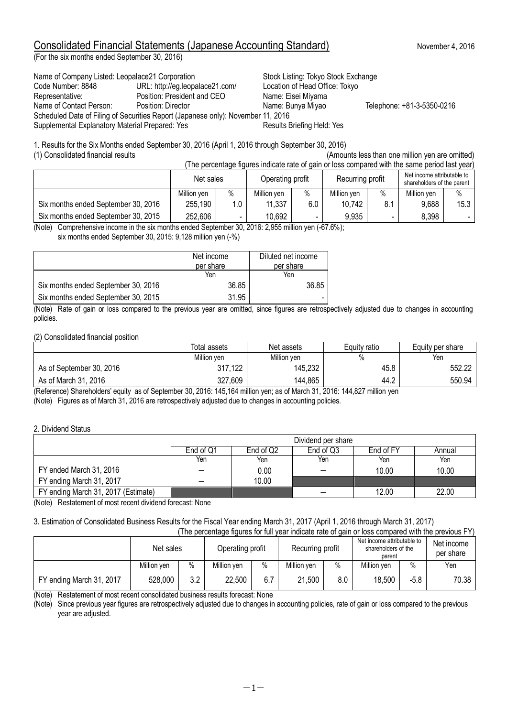# Consolidated Financial Statements (Japanese Accounting Standard) November 4, 2016

(For the six months ended September 30, 2016)

Name of Company Listed: Leopalace21 Corporation Stock Listing: Tokyo Stock Exchange Code Number: 8848 URL: http://eg.leopalace21.com/ Location of Head Office: Tokyo Representative: Position: President and CEO Name: Eisei Miyama Name of Contact Person: Position: Director Name: Bunya Miyao Telephone: +81-3-5350-0216 Scheduled Date of Filing of Securities Report (Japanese only): November 11, 2016 Supplemental Explanatory Material Prepared: Yes

1. Results for the Six Months ended September 30, 2016 (April 1, 2016 through September 30, 2016) (1) Consolidated financial results (Amounts less than one million yen are omitted)

(The percentage figures indicate rate of gain or loss compared with the same period last year)

|                                     | Net sales   |      | Operating profit |      | Recurring profit |      | Net income attributable to<br>shareholders of the parent |        |
|-------------------------------------|-------------|------|------------------|------|------------------|------|----------------------------------------------------------|--------|
|                                     | Million ven | $\%$ | Million ven      | $\%$ | Million ven      | $\%$ | Million ven                                              | $\%$   |
| Six months ended September 30, 2016 | 255,190     | 0.۱  | 11,337           | 6.0  | 10,742           | 8.1  | 9,688                                                    | 15.3   |
| Six months ended September 30, 2015 | 252,606     |      | 10,692           |      | 9,935            |      | 8.398                                                    | $\sim$ |

(Note) Comprehensive income in the six months ended September 30, 2016: 2,955 million yen (-67.6%); six months ended September 30, 2015: 9,128 million yen (-%)

|                                     | Net income<br>per share | Diluted net income<br>per share |
|-------------------------------------|-------------------------|---------------------------------|
|                                     | Yen                     | Yen                             |
| Six months ended September 30, 2016 | 36.85                   | 36.85                           |
| Six months ended September 30, 2015 | 31.95                   |                                 |

(Note) Rate of gain or loss compared to the previous year are omitted, since figures are retrospectively adjusted due to changes in accounting policies.

#### (2) Consolidated financial position

|                          | Total assets | Net assets  | Equity ratio | Equity per share |  |
|--------------------------|--------------|-------------|--------------|------------------|--|
|                          | Million yen  | Million yen |              | Yen              |  |
| As of September 30, 2016 | 317,122      | 145,232     | 45.8         | 552.22           |  |
| As of March 31, 2016     | 327,609      | 144,865     | 44.2         | 550.94           |  |

(Reference) Shareholders' equity as of September 30, 2016: 145,164 million yen; as of March 31, 2016: 144,827 million yen (Note) Figures as of March 31, 2016 are retrospectively adjusted due to changes in accounting policies.

#### 2. Dividend Status

|                                     | Dividend per share       |                                               |     |       |       |  |  |  |  |
|-------------------------------------|--------------------------|-----------------------------------------------|-----|-------|-------|--|--|--|--|
|                                     | End of Q1                | End of Q3<br>End of Q2<br>End of FY<br>Annual |     |       |       |  |  |  |  |
|                                     | Yen                      | Yen                                           | Yen | Yen   | Yen   |  |  |  |  |
| FY ended March 31, 2016             | $\hspace{0.05cm}$        | 0.00                                          |     | 10.00 | 10.00 |  |  |  |  |
| FY ending March 31, 2017            | $\overline{\phantom{0}}$ | 10.00                                         |     |       |       |  |  |  |  |
| FY ending March 31, 2017 (Estimate) |                          |                                               |     | 12.00 | 22.00 |  |  |  |  |

(Note) Restatement of most recent dividend forecast: None

# 3. Estimation of Consolidated Business Results for the Fiscal Year ending March 31, 2017 (April 1, 2016 through March 31, 2017)

| (The percentage figures for full year indicate rate of gain or loss compared with the previous FY) |             |     |                  |      |                  |      |                                                             |        |                         |
|----------------------------------------------------------------------------------------------------|-------------|-----|------------------|------|------------------|------|-------------------------------------------------------------|--------|-------------------------|
|                                                                                                    | Net sales   |     | Operating profit |      | Recurring profit |      | Net income attributable to<br>shareholders of the<br>parent |        | Net income<br>per share |
|                                                                                                    | Million ven | %   | Million yen      | $\%$ | Million yen      | $\%$ | Million ven                                                 | $\%$   | Yen                     |
| FY ending March 31, 2017                                                                           | 528,000     | 3.2 | 22,500           | 6.7  | 21,500           | 8.0  | 18,500                                                      | $-5.8$ | 70.38                   |

(Note) Restatement of most recent consolidated business results forecast: None

(Note) Since previous year figures are retrospectively adjusted due to changes in accounting policies, rate of gain or loss compared to the previous year are adjusted.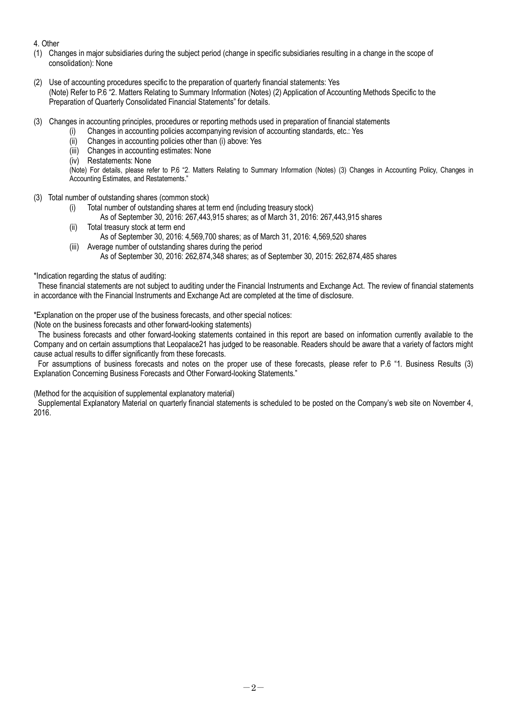#### 4. Other

- (1) Changes in major subsidiaries during the subject period (change in specific subsidiaries resulting in a change in the scope of consolidation): None
- (2) Use of accounting procedures specific to the preparation of quarterly financial statements: Yes (Note) Refer to P.6 "2. Matters Relating to Summary Information (Notes) (2) Application of Accounting Methods Specific to the Preparation of Quarterly Consolidated Financial Statements" for details.
- (3) Changes in accounting principles, procedures or reporting methods used in preparation of financial statements
	- (i) Changes in accounting policies accompanying revision of accounting standards, etc.: Yes
	- (ii) Changes in accounting policies other than (i) above: Yes
	- (iii) Changes in accounting estimates: None
	- (iv) Restatements: None

(Note) For details, please refer to P.6 "2. Matters Relating to Summary Information (Notes) (3) Changes in Accounting Policy, Changes in Accounting Estimates, and Restatements."

- (3) Total number of outstanding shares (common stock)
	- (i) Total number of outstanding shares at term end (including treasury stock)
	- As of September 30, 2016: 267,443,915 shares; as of March 31, 2016: 267,443,915 shares (ii) Total treasury stock at term end
	- As of September 30, 2016: 4,569,700 shares; as of March 31, 2016: 4,569,520 shares
	- (iii) Average number of outstanding shares during the period
		- As of September 30, 2016: 262,874,348 shares; as of September 30, 2015: 262,874,485 shares

#### \*Indication regarding the status of auditing:

These financial statements are not subject to auditing under the Financial Instruments and Exchange Act. The review of financial statements in accordance with the Financial Instruments and Exchange Act are completed at the time of disclosure.

\*Explanation on the proper use of the business forecasts, and other special notices:

(Note on the business forecasts and other forward-looking statements)

The business forecasts and other forward-looking statements contained in this report are based on information currently available to the Company and on certain assumptions that Leopalace21 has judged to be reasonable. Readers should be aware that a variety of factors might cause actual results to differ significantly from these forecasts.

For assumptions of business forecasts and notes on the proper use of these forecasts, please refer to P.6 "1. Business Results (3) Explanation Concerning Business Forecasts and Other Forward-looking Statements."

(Method for the acquisition of supplemental explanatory material)

Supplemental Explanatory Material on quarterly financial statements is scheduled to be posted on the Company's web site on November 4, 2016.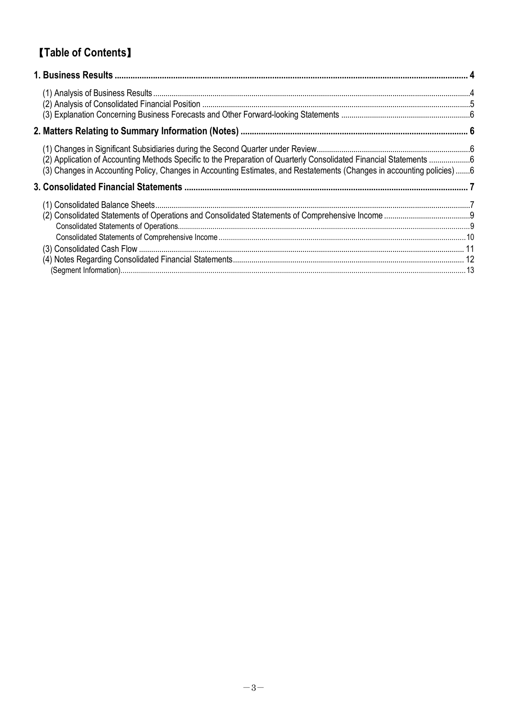# 【**Table of Contents**】

| (2) Application of Accounting Methods Specific to the Preparation of Quarterly Consolidated Financial Statements 6<br>(3) Changes in Accounting Policy, Changes in Accounting Estimates, and Restatements (Changes in accounting policies) 6 |  |
|----------------------------------------------------------------------------------------------------------------------------------------------------------------------------------------------------------------------------------------------|--|
|                                                                                                                                                                                                                                              |  |
|                                                                                                                                                                                                                                              |  |
|                                                                                                                                                                                                                                              |  |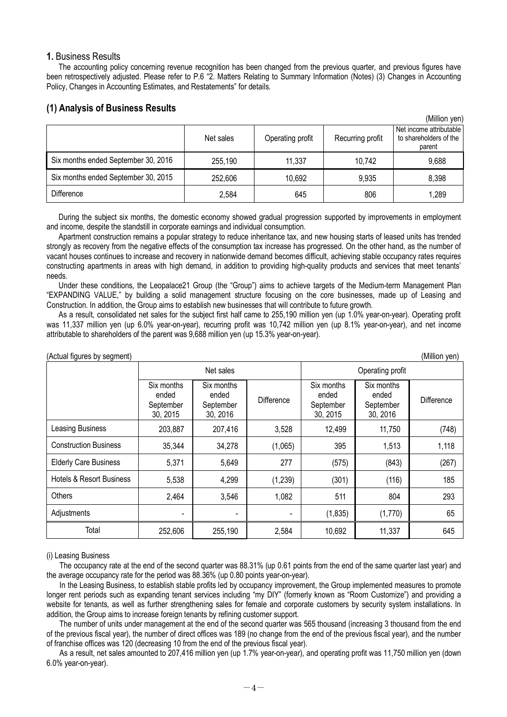#### **1.** Business Results

The accounting policy concerning revenue recognition has been changed from the previous quarter, and previous figures have been retrospectively adjusted. Please refer to P.6 "2. Matters Relating to Summary Information (Notes) (3) Changes in Accounting Policy, Changes in Accounting Estimates, and Restatements" for details.

## **(1) Analysis of Business Results**

|                                     |           |                  |                  | (Million yen)                                               |
|-------------------------------------|-----------|------------------|------------------|-------------------------------------------------------------|
|                                     | Net sales | Operating profit | Recurring profit | Net income attributable<br>to shareholders of the<br>parent |
| Six months ended September 30, 2016 | 255,190   | 11,337           | 10,742           | 9,688                                                       |
| Six months ended September 30, 2015 | 252,606   | 10,692           | 9,935            | 8,398                                                       |
| <b>Difference</b>                   | 2,584     | 645              | 806              | 1,289                                                       |

During the subject six months, the domestic economy showed gradual progression supported by improvements in employment and income, despite the standstill in corporate earnings and individual consumption.

Apartment construction remains a popular strategy to reduce inheritance tax, and new housing starts of leased units has trended strongly as recovery from the negative effects of the consumption tax increase has progressed. On the other hand, as the number of vacant houses continues to increase and recovery in nationwide demand becomes difficult, achieving stable occupancy rates requires constructing apartments in areas with high demand, in addition to providing high-quality products and services that meet tenants' needs.

Under these conditions, the Leopalace21 Group (the "Group") aims to achieve targets of the Medium-term Management Plan "EXPANDING VALUE," by building a solid management structure focusing on the core businesses, made up of Leasing and Construction. In addition, the Group aims to establish new businesses that will contribute to future growth.

As a result, consolidated net sales for the subject first half came to 255,190 million yen (up 1.0% year-on-year). Operating profit was 11,337 million yen (up 6.0% year-on-year), recurring profit was 10,742 million yen (up 8.1% year-on-year), and net income attributable to shareholders of the parent was 9,688 million yen (up 15.3% year-on-year).

| (Million yen)<br>(Actual figures by segment) |                                              |                                              |            |                                              |                                              |                   |  |
|----------------------------------------------|----------------------------------------------|----------------------------------------------|------------|----------------------------------------------|----------------------------------------------|-------------------|--|
|                                              |                                              | Net sales                                    |            | Operating profit                             |                                              |                   |  |
|                                              | Six months<br>ended<br>September<br>30, 2015 | Six months<br>ended<br>September<br>30, 2016 | Difference | Six months<br>ended<br>September<br>30, 2015 | Six months<br>ended<br>September<br>30, 2016 | <b>Difference</b> |  |
| <b>Leasing Business</b>                      | 203,887                                      | 207,416                                      | 3,528      | 12,499                                       | 11,750                                       | (748)             |  |
| <b>Construction Business</b>                 | 35,344                                       | 34,278                                       | (1,065)    | 395                                          | 1,513                                        | 1,118             |  |
| <b>Elderly Care Business</b>                 | 5,371                                        | 5,649                                        | 277        | (575)                                        | (843)                                        | (267)             |  |
| <b>Hotels &amp; Resort Business</b>          | 5,538                                        | 4,299                                        | (1, 239)   | (301)                                        | (116)                                        | 185               |  |
| Others                                       | 2,464                                        | 3,546                                        | 1,082      | 511                                          | 804                                          | 293               |  |
| Adjustments                                  |                                              |                                              |            | (1,835)                                      | (1,770)                                      | 65                |  |
| Total                                        | 252,606                                      | 255,190                                      | 2,584      | 10,692                                       | 11,337                                       | 645               |  |

(i) Leasing Business The occupancy rate at the end of the second quarter was 88.31% (up 0.61 points from the end of the same quarter last year) and the average occupancy rate for the period was 88.36% (up 0.80 points year-on-year).

In the Leasing Business, to establish stable profits led by occupancy improvement, the Group implemented measures to promote longer rent periods such as expanding tenant services including "my DIY" (formerly known as "Room Customize") and providing a website for tenants, as well as further strengthening sales for female and corporate customers by security system installations. In addition, the Group aims to increase foreign tenants by refining customer support.

The number of units under management at the end of the second quarter was 565 thousand (increasing 3 thousand from the end of the previous fiscal year), the number of direct offices was 189 (no change from the end of the previous fiscal year), and the number of franchise offices was 120 (decreasing 10 from the end of the previous fiscal year).

As a result, net sales amounted to 207,416 million yen (up 1.7% year-on-year), and operating profit was 11,750 million yen (down 6.0% year-on-year).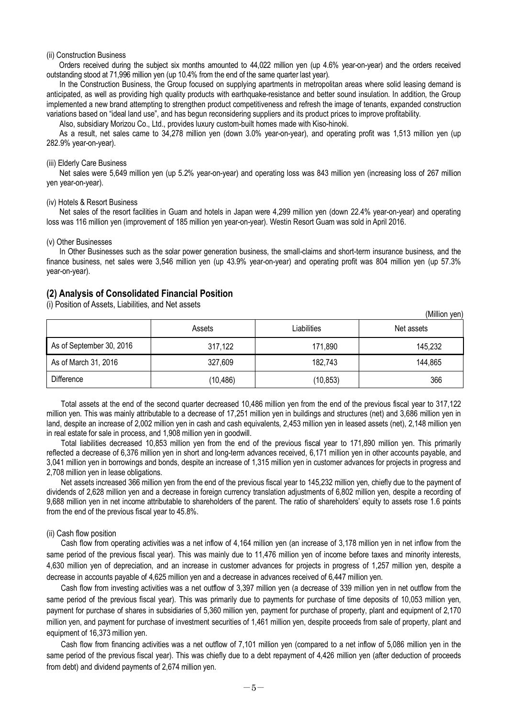#### (ii) Construction Business

Orders received during the subject six months amounted to 44,022 million yen (up 4.6% year-on-year) and the orders received outstanding stood at 71,996 million yen (up 10.4% from the end of the same quarter last year).

In the Construction Business, the Group focused on supplying apartments in metropolitan areas where solid leasing demand is anticipated, as well as providing high quality products with earthquake-resistance and better sound insulation. In addition, the Group implemented a new brand attempting to strengthen product competitiveness and refresh the image of tenants, expanded construction variations based on "ideal land use", and has begun reconsidering suppliers and its product prices to improve profitability.

Also, subsidiary Morizou Co., Ltd., provides luxury custom-built homes made with Kiso-hinoki.

As a result, net sales came to 34,278 million yen (down 3.0% year-on-year), and operating profit was 1,513 million yen (up 282.9% year-on-year).

#### (iii) Elderly Care Business

Net sales were 5,649 million yen (up 5.2% year-on-year) and operating loss was 843 million yen (increasing loss of 267 million yen year-on-year).

#### (iv) Hotels & Resort Business

Net sales of the resort facilities in Guam and hotels in Japan were 4,299 million yen (down 22.4% year-on-year) and operating loss was 116 million yen (improvement of 185 million yen year-on-year). Westin Resort Guam was sold in April 2016.

#### (v) Other Businesses

In Other Businesses such as the solar power generation business, the small-claims and short-term insurance business, and the finance business, net sales were 3,546 million yen (up 43.9% year-on-year) and operating profit was 804 million yen (up 57.3% year-on-year).

#### **(2) Analysis of Consolidated Financial Position**

(i) Position of Assets, Liabilities, and Net assets

|                          |           |             | (Million yen) |
|--------------------------|-----------|-------------|---------------|
|                          | Assets    | Liabilities | Net assets    |
| As of September 30, 2016 | 317,122   | 171,890     | 145,232       |
| As of March 31, 2016     | 327,609   | 182,743     | 144,865       |
| <b>Difference</b>        | (10, 486) | (10, 853)   | 366           |

Total assets at the end of the second quarter decreased 10,486 million yen from the end of the previous fiscal year to 317,122 million yen. This was mainly attributable to a decrease of 17,251 million yen in buildings and structures (net) and 3,686 million yen in land, despite an increase of 2,002 million yen in cash and cash equivalents, 2,453 million yen in leased assets (net), 2,148 million yen in real estate for sale in process, and 1,908 million yen in goodwill.

Total liabilities decreased 10,853 million yen from the end of the previous fiscal year to 171,890 million yen. This primarily reflected a decrease of 6,376 million yen in short and long-term advances received, 6,171 million yen in other accounts payable, and 3,041 million yen in borrowings and bonds, despite an increase of 1,315 million yen in customer advances for projects in progress and 2,708 million yen in lease obligations.

Net assets increased 366 million yen from the end of the previous fiscal year to 145,232 million yen, chiefly due to the payment of dividends of 2,628 million yen and a decrease in foreign currency translation adjustments of 6,802 million yen, despite a recording of 9,688 million yen in net income attributable to shareholders of the parent. The ratio of shareholders' equity to assets rose 1.6 points from the end of the previous fiscal year to 45.8%.

#### (ii) Cash flow position

Cash flow from operating activities was a net inflow of 4,164 million yen (an increase of 3,178 million yen in net inflow from the same period of the previous fiscal year). This was mainly due to 11,476 million yen of income before taxes and minority interests, 4,630 million yen of depreciation, and an increase in customer advances for projects in progress of 1,257 million yen, despite a decrease in accounts payable of 4,625 million yen and a decrease in advances received of 6,447 million yen.

Cash flow from investing activities was a net outflow of 3,397 million yen (a decrease of 339 million yen in net outflow from the same period of the previous fiscal year). This was primarily due to payments for purchase of time deposits of 10,053 million yen, payment for purchase of shares in subsidiaries of 5,360 million yen, payment for purchase of property, plant and equipment of 2,170 million yen, and payment for purchase of investment securities of 1,461 million yen, despite proceeds from sale of property, plant and equipment of 16,373 million yen.

Cash flow from financing activities was a net outflow of 7,101 million yen (compared to a net inflow of 5,086 million yen in the same period of the previous fiscal year). This was chiefly due to a debt repayment of 4,426 million yen (after deduction of proceeds from debt) and dividend payments of 2,674 million yen.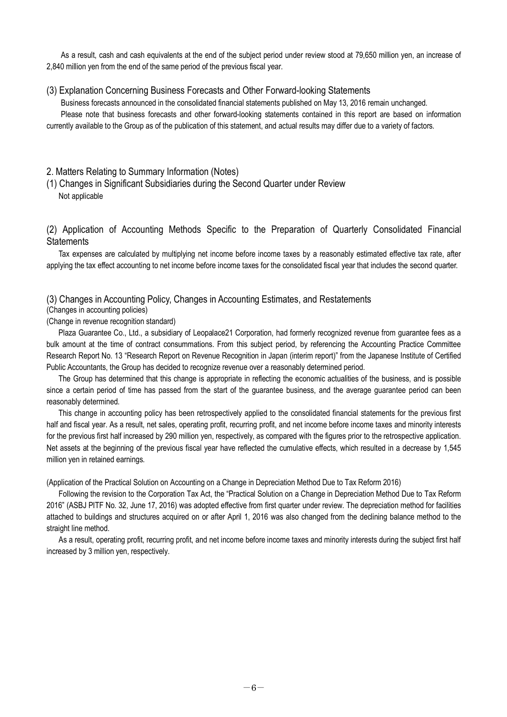As a result, cash and cash equivalents at the end of the subject period under review stood at 79,650 million yen, an increase of 2,840 million yen from the end of the same period of the previous fiscal year.

#### (3) Explanation Concerning Business Forecasts and Other Forward-looking Statements

Business forecasts announced in the consolidated financial statements published on May 13, 2016 remain unchanged. Please note that business forecasts and other forward-looking statements contained in this report are based on information currently available to the Group as of the publication of this statement, and actual results may differ due to a variety of factors.

## 2. Matters Relating to Summary Information (Notes)

## (1) Changes in Significant Subsidiaries during the Second Quarter under Review Not applicable

## (2) Application of Accounting Methods Specific to the Preparation of Quarterly Consolidated Financial **Statements**

Tax expenses are calculated by multiplying net income before income taxes by a reasonably estimated effective tax rate, after applying the tax effect accounting to net income before income taxes for the consolidated fiscal year that includes the second quarter.

## (3) Changes in Accounting Policy, Changes in Accounting Estimates, and Restatements

#### (Changes in accounting policies)

#### (Change in revenue recognition standard)

Plaza Guarantee Co., Ltd., a subsidiary of Leopalace21 Corporation, had formerly recognized revenue from guarantee fees as a bulk amount at the time of contract consummations. From this subject period, by referencing the Accounting Practice Committee Research Report No. 13 "Research Report on Revenue Recognition in Japan (interim report)" from the Japanese Institute of Certified Public Accountants, the Group has decided to recognize revenue over a reasonably determined period.

The Group has determined that this change is appropriate in reflecting the economic actualities of the business, and is possible since a certain period of time has passed from the start of the guarantee business, and the average guarantee period can been reasonably determined.

This change in accounting policy has been retrospectively applied to the consolidated financial statements for the previous first half and fiscal year. As a result, net sales, operating profit, recurring profit, and net income before income taxes and minority interests for the previous first half increased by 290 million yen, respectively, as compared with the figures prior to the retrospective application. Net assets at the beginning of the previous fiscal year have reflected the cumulative effects, which resulted in a decrease by 1,545 million yen in retained earnings.

(Application of the Practical Solution on Accounting on a Change in Depreciation Method Due to Tax Reform 2016)

Following the revision to the Corporation Tax Act, the "Practical Solution on a Change in Depreciation Method Due to Tax Reform 2016" (ASBJ PITF No. 32, June 17, 2016) was adopted effective from first quarter under review. The depreciation method for facilities attached to buildings and structures acquired on or after April 1, 2016 was also changed from the declining balance method to the straight line method.

As a result, operating profit, recurring profit, and net income before income taxes and minority interests during the subject first half increased by 3 million yen, respectively.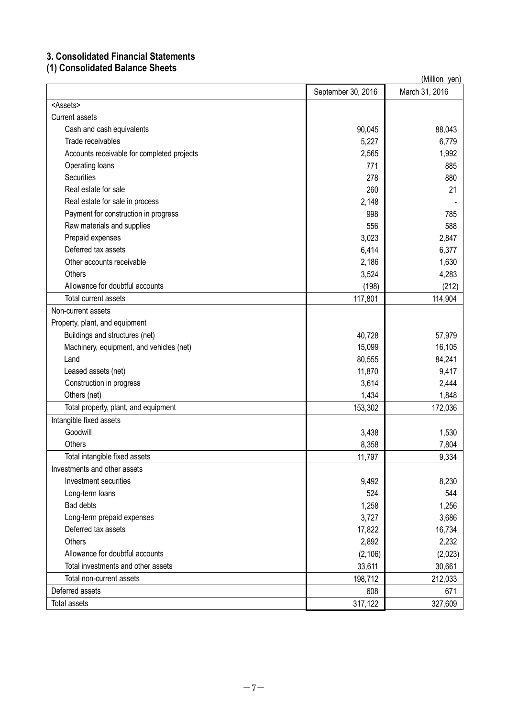# **3. Consolidated Financial Statements**

# **(1) Consolidated Balance Sheets**

| (Million yen)                              |  |                    |                |  |
|--------------------------------------------|--|--------------------|----------------|--|
|                                            |  | September 30, 2016 | March 31, 2016 |  |
| <assets></assets>                          |  |                    |                |  |
| <b>Current assets</b>                      |  |                    |                |  |
| Cash and cash equivalents                  |  | 90,045             | 88,043         |  |
| Trade receivables                          |  | 5,227              | 6,779          |  |
| Accounts receivable for completed projects |  | 2,565              | 1,992          |  |
| Operating loans                            |  | 771                | 885            |  |
| <b>Securities</b>                          |  | 278                | 880            |  |
| Real estate for sale                       |  | 260                | 21             |  |
| Real estate for sale in process            |  | 2,148              |                |  |
| Payment for construction in progress       |  | 998                | 785            |  |
| Raw materials and supplies                 |  | 556                | 588            |  |
| Prepaid expenses                           |  | 3,023              | 2,847          |  |
| Deferred tax assets                        |  | 6,414              | 6,377          |  |
| Other accounts receivable                  |  | 2,186              | 1,630          |  |
| <b>Others</b>                              |  | 3,524              | 4,283          |  |
| Allowance for doubtful accounts            |  | (198)              | (212)          |  |
| Total current assets                       |  | 117,801            | 114,904        |  |
| Non-current assets                         |  |                    |                |  |
| Property, plant, and equipment             |  |                    |                |  |
| Buildings and structures (net)             |  | 40,728             | 57,979         |  |
| Machinery, equipment, and vehicles (net)   |  | 15,099             | 16,105         |  |
| Land                                       |  | 80,555             | 84,241         |  |
| Leased assets (net)                        |  | 11,870             | 9,417          |  |
| Construction in progress                   |  | 3,614              | 2,444          |  |
| Others (net)                               |  | 1,434              | 1,848          |  |
| Total property, plant, and equipment       |  | 153,302            | 172,036        |  |
| Intangible fixed assets                    |  |                    |                |  |
| Goodwill                                   |  | 3,438              | 1,530          |  |
| Others                                     |  | 8,358              | 7,804          |  |
| Total intangible fixed assets              |  | 11,797             | 9,334          |  |
| Investments and other assets               |  |                    |                |  |
| Investment securities                      |  | 9,492              | 8,230          |  |
| Long-term loans                            |  | 524                | 544            |  |
| Bad debts                                  |  | 1,258              | 1,256          |  |
| Long-term prepaid expenses                 |  | 3,727              | 3,686          |  |
| Deferred tax assets                        |  | 17,822             | 16,734         |  |
| Others                                     |  | 2,892              | 2,232          |  |
| Allowance for doubtful accounts            |  | (2, 106)           | (2,023)        |  |
| Total investments and other assets         |  | 33,611             | 30,661         |  |
| Total non-current assets                   |  | 198,712            | 212,033        |  |
| Deferred assets                            |  | 608                | 671            |  |
| Total assets                               |  | 317,122            | 327,609        |  |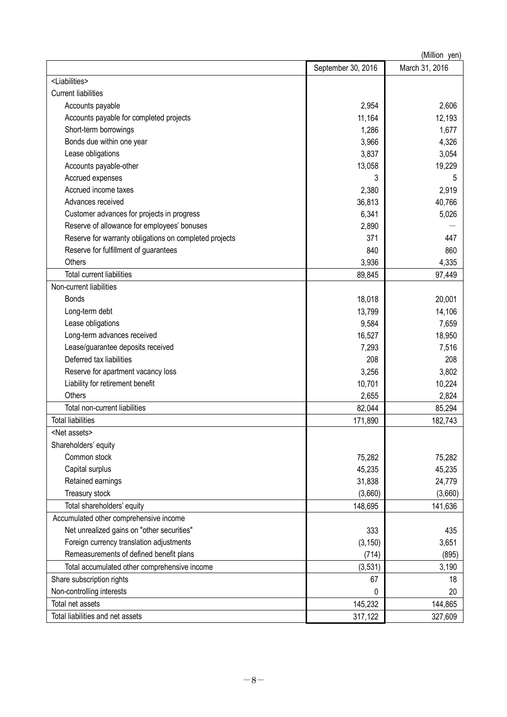| March 31, 2016<br>September 30, 2016<br><liabilities><br/><b>Current liabilities</b><br/>Accounts payable<br/>2,954<br/>2,606<br/>Accounts payable for completed projects<br/>11,164<br/>12,193<br/>Short-term borrowings<br/>1,286<br/>1,677<br/>Bonds due within one year<br/>3,966<br/>4,326<br/>Lease obligations<br/>3,837<br/>3,054<br/>19,229<br/>Accounts payable-other<br/>13,058<br/>Accrued expenses<br/>3<br/>5<br/>Accrued income taxes<br/>2,380<br/>2,919<br/>Advances received<br/>36,813<br/>40,766<br/>Customer advances for projects in progress<br/>6,341<br/>5,026<br/>Reserve of allowance for employees' bonuses<br/>2,890<br/>Reserve for warranty obligations on completed projects<br/>371<br/>447<br/>Reserve for fulfillment of guarantees<br/>840<br/>860<br/>Others<br/>3,936<br/>4,335<br/><b>Total current liabilities</b><br/>89,845<br/>97,449<br/>Non-current liabilities<br/>20,001<br/><b>Bonds</b><br/>18,018<br/>Long-term debt<br/>13,799<br/>14,106<br/>Lease obligations<br/>9,584<br/>7,659<br/>Long-term advances received<br/>18,950<br/>16,527<br/>Lease/guarantee deposits received<br/>7,293<br/>7,516<br/>Deferred tax liabilities<br/>208<br/>208<br/>Reserve for apartment vacancy loss<br/>3,802<br/>3,256<br/>Liability for retirement benefit<br/>10,224<br/>10,701<br/>Others<br/>2,655<br/>2,824<br/>Total non-current liabilities<br/>82,044<br/>85,294<br/><b>Total liabilities</b><br/>171,890<br/>182,743<br/><net assets=""><br/>Shareholders' equity</net></liabilities> |
|----------------------------------------------------------------------------------------------------------------------------------------------------------------------------------------------------------------------------------------------------------------------------------------------------------------------------------------------------------------------------------------------------------------------------------------------------------------------------------------------------------------------------------------------------------------------------------------------------------------------------------------------------------------------------------------------------------------------------------------------------------------------------------------------------------------------------------------------------------------------------------------------------------------------------------------------------------------------------------------------------------------------------------------------------------------------------------------------------------------------------------------------------------------------------------------------------------------------------------------------------------------------------------------------------------------------------------------------------------------------------------------------------------------------------------------------------------------------------------------------------------------------------------------|
|                                                                                                                                                                                                                                                                                                                                                                                                                                                                                                                                                                                                                                                                                                                                                                                                                                                                                                                                                                                                                                                                                                                                                                                                                                                                                                                                                                                                                                                                                                                                        |
|                                                                                                                                                                                                                                                                                                                                                                                                                                                                                                                                                                                                                                                                                                                                                                                                                                                                                                                                                                                                                                                                                                                                                                                                                                                                                                                                                                                                                                                                                                                                        |
|                                                                                                                                                                                                                                                                                                                                                                                                                                                                                                                                                                                                                                                                                                                                                                                                                                                                                                                                                                                                                                                                                                                                                                                                                                                                                                                                                                                                                                                                                                                                        |
|                                                                                                                                                                                                                                                                                                                                                                                                                                                                                                                                                                                                                                                                                                                                                                                                                                                                                                                                                                                                                                                                                                                                                                                                                                                                                                                                                                                                                                                                                                                                        |
|                                                                                                                                                                                                                                                                                                                                                                                                                                                                                                                                                                                                                                                                                                                                                                                                                                                                                                                                                                                                                                                                                                                                                                                                                                                                                                                                                                                                                                                                                                                                        |
|                                                                                                                                                                                                                                                                                                                                                                                                                                                                                                                                                                                                                                                                                                                                                                                                                                                                                                                                                                                                                                                                                                                                                                                                                                                                                                                                                                                                                                                                                                                                        |
|                                                                                                                                                                                                                                                                                                                                                                                                                                                                                                                                                                                                                                                                                                                                                                                                                                                                                                                                                                                                                                                                                                                                                                                                                                                                                                                                                                                                                                                                                                                                        |
|                                                                                                                                                                                                                                                                                                                                                                                                                                                                                                                                                                                                                                                                                                                                                                                                                                                                                                                                                                                                                                                                                                                                                                                                                                                                                                                                                                                                                                                                                                                                        |
|                                                                                                                                                                                                                                                                                                                                                                                                                                                                                                                                                                                                                                                                                                                                                                                                                                                                                                                                                                                                                                                                                                                                                                                                                                                                                                                                                                                                                                                                                                                                        |
|                                                                                                                                                                                                                                                                                                                                                                                                                                                                                                                                                                                                                                                                                                                                                                                                                                                                                                                                                                                                                                                                                                                                                                                                                                                                                                                                                                                                                                                                                                                                        |
|                                                                                                                                                                                                                                                                                                                                                                                                                                                                                                                                                                                                                                                                                                                                                                                                                                                                                                                                                                                                                                                                                                                                                                                                                                                                                                                                                                                                                                                                                                                                        |
|                                                                                                                                                                                                                                                                                                                                                                                                                                                                                                                                                                                                                                                                                                                                                                                                                                                                                                                                                                                                                                                                                                                                                                                                                                                                                                                                                                                                                                                                                                                                        |
|                                                                                                                                                                                                                                                                                                                                                                                                                                                                                                                                                                                                                                                                                                                                                                                                                                                                                                                                                                                                                                                                                                                                                                                                                                                                                                                                                                                                                                                                                                                                        |
|                                                                                                                                                                                                                                                                                                                                                                                                                                                                                                                                                                                                                                                                                                                                                                                                                                                                                                                                                                                                                                                                                                                                                                                                                                                                                                                                                                                                                                                                                                                                        |
|                                                                                                                                                                                                                                                                                                                                                                                                                                                                                                                                                                                                                                                                                                                                                                                                                                                                                                                                                                                                                                                                                                                                                                                                                                                                                                                                                                                                                                                                                                                                        |
|                                                                                                                                                                                                                                                                                                                                                                                                                                                                                                                                                                                                                                                                                                                                                                                                                                                                                                                                                                                                                                                                                                                                                                                                                                                                                                                                                                                                                                                                                                                                        |
|                                                                                                                                                                                                                                                                                                                                                                                                                                                                                                                                                                                                                                                                                                                                                                                                                                                                                                                                                                                                                                                                                                                                                                                                                                                                                                                                                                                                                                                                                                                                        |
|                                                                                                                                                                                                                                                                                                                                                                                                                                                                                                                                                                                                                                                                                                                                                                                                                                                                                                                                                                                                                                                                                                                                                                                                                                                                                                                                                                                                                                                                                                                                        |
|                                                                                                                                                                                                                                                                                                                                                                                                                                                                                                                                                                                                                                                                                                                                                                                                                                                                                                                                                                                                                                                                                                                                                                                                                                                                                                                                                                                                                                                                                                                                        |
|                                                                                                                                                                                                                                                                                                                                                                                                                                                                                                                                                                                                                                                                                                                                                                                                                                                                                                                                                                                                                                                                                                                                                                                                                                                                                                                                                                                                                                                                                                                                        |
|                                                                                                                                                                                                                                                                                                                                                                                                                                                                                                                                                                                                                                                                                                                                                                                                                                                                                                                                                                                                                                                                                                                                                                                                                                                                                                                                                                                                                                                                                                                                        |
|                                                                                                                                                                                                                                                                                                                                                                                                                                                                                                                                                                                                                                                                                                                                                                                                                                                                                                                                                                                                                                                                                                                                                                                                                                                                                                                                                                                                                                                                                                                                        |
|                                                                                                                                                                                                                                                                                                                                                                                                                                                                                                                                                                                                                                                                                                                                                                                                                                                                                                                                                                                                                                                                                                                                                                                                                                                                                                                                                                                                                                                                                                                                        |
|                                                                                                                                                                                                                                                                                                                                                                                                                                                                                                                                                                                                                                                                                                                                                                                                                                                                                                                                                                                                                                                                                                                                                                                                                                                                                                                                                                                                                                                                                                                                        |
|                                                                                                                                                                                                                                                                                                                                                                                                                                                                                                                                                                                                                                                                                                                                                                                                                                                                                                                                                                                                                                                                                                                                                                                                                                                                                                                                                                                                                                                                                                                                        |
|                                                                                                                                                                                                                                                                                                                                                                                                                                                                                                                                                                                                                                                                                                                                                                                                                                                                                                                                                                                                                                                                                                                                                                                                                                                                                                                                                                                                                                                                                                                                        |
|                                                                                                                                                                                                                                                                                                                                                                                                                                                                                                                                                                                                                                                                                                                                                                                                                                                                                                                                                                                                                                                                                                                                                                                                                                                                                                                                                                                                                                                                                                                                        |
|                                                                                                                                                                                                                                                                                                                                                                                                                                                                                                                                                                                                                                                                                                                                                                                                                                                                                                                                                                                                                                                                                                                                                                                                                                                                                                                                                                                                                                                                                                                                        |
|                                                                                                                                                                                                                                                                                                                                                                                                                                                                                                                                                                                                                                                                                                                                                                                                                                                                                                                                                                                                                                                                                                                                                                                                                                                                                                                                                                                                                                                                                                                                        |
|                                                                                                                                                                                                                                                                                                                                                                                                                                                                                                                                                                                                                                                                                                                                                                                                                                                                                                                                                                                                                                                                                                                                                                                                                                                                                                                                                                                                                                                                                                                                        |
|                                                                                                                                                                                                                                                                                                                                                                                                                                                                                                                                                                                                                                                                                                                                                                                                                                                                                                                                                                                                                                                                                                                                                                                                                                                                                                                                                                                                                                                                                                                                        |
|                                                                                                                                                                                                                                                                                                                                                                                                                                                                                                                                                                                                                                                                                                                                                                                                                                                                                                                                                                                                                                                                                                                                                                                                                                                                                                                                                                                                                                                                                                                                        |
| Common stock<br>75,282<br>75,282                                                                                                                                                                                                                                                                                                                                                                                                                                                                                                                                                                                                                                                                                                                                                                                                                                                                                                                                                                                                                                                                                                                                                                                                                                                                                                                                                                                                                                                                                                       |
| Capital surplus<br>45,235<br>45,235                                                                                                                                                                                                                                                                                                                                                                                                                                                                                                                                                                                                                                                                                                                                                                                                                                                                                                                                                                                                                                                                                                                                                                                                                                                                                                                                                                                                                                                                                                    |
| Retained earnings<br>31,838<br>24,779                                                                                                                                                                                                                                                                                                                                                                                                                                                                                                                                                                                                                                                                                                                                                                                                                                                                                                                                                                                                                                                                                                                                                                                                                                                                                                                                                                                                                                                                                                  |
| Treasury stock<br>(3,660)<br>(3,660)                                                                                                                                                                                                                                                                                                                                                                                                                                                                                                                                                                                                                                                                                                                                                                                                                                                                                                                                                                                                                                                                                                                                                                                                                                                                                                                                                                                                                                                                                                   |
| Total shareholders' equity<br>141,636<br>148,695                                                                                                                                                                                                                                                                                                                                                                                                                                                                                                                                                                                                                                                                                                                                                                                                                                                                                                                                                                                                                                                                                                                                                                                                                                                                                                                                                                                                                                                                                       |
| Accumulated other comprehensive income                                                                                                                                                                                                                                                                                                                                                                                                                                                                                                                                                                                                                                                                                                                                                                                                                                                                                                                                                                                                                                                                                                                                                                                                                                                                                                                                                                                                                                                                                                 |
| Net unrealized gains on "other securities"<br>333<br>435                                                                                                                                                                                                                                                                                                                                                                                                                                                                                                                                                                                                                                                                                                                                                                                                                                                                                                                                                                                                                                                                                                                                                                                                                                                                                                                                                                                                                                                                               |
| Foreign currency translation adjustments<br>(3, 150)<br>3,651                                                                                                                                                                                                                                                                                                                                                                                                                                                                                                                                                                                                                                                                                                                                                                                                                                                                                                                                                                                                                                                                                                                                                                                                                                                                                                                                                                                                                                                                          |
| Remeasurements of defined benefit plans<br>(895)<br>(714)                                                                                                                                                                                                                                                                                                                                                                                                                                                                                                                                                                                                                                                                                                                                                                                                                                                                                                                                                                                                                                                                                                                                                                                                                                                                                                                                                                                                                                                                              |
| Total accumulated other comprehensive income<br>(3, 531)<br>3,190                                                                                                                                                                                                                                                                                                                                                                                                                                                                                                                                                                                                                                                                                                                                                                                                                                                                                                                                                                                                                                                                                                                                                                                                                                                                                                                                                                                                                                                                      |
| Share subscription rights<br>67<br>18                                                                                                                                                                                                                                                                                                                                                                                                                                                                                                                                                                                                                                                                                                                                                                                                                                                                                                                                                                                                                                                                                                                                                                                                                                                                                                                                                                                                                                                                                                  |
| Non-controlling interests<br>20<br>0                                                                                                                                                                                                                                                                                                                                                                                                                                                                                                                                                                                                                                                                                                                                                                                                                                                                                                                                                                                                                                                                                                                                                                                                                                                                                                                                                                                                                                                                                                   |
| Total net assets<br>144,865<br>145,232                                                                                                                                                                                                                                                                                                                                                                                                                                                                                                                                                                                                                                                                                                                                                                                                                                                                                                                                                                                                                                                                                                                                                                                                                                                                                                                                                                                                                                                                                                 |
| Total liabilities and net assets<br>317,122<br>327,609                                                                                                                                                                                                                                                                                                                                                                                                                                                                                                                                                                                                                                                                                                                                                                                                                                                                                                                                                                                                                                                                                                                                                                                                                                                                                                                                                                                                                                                                                 |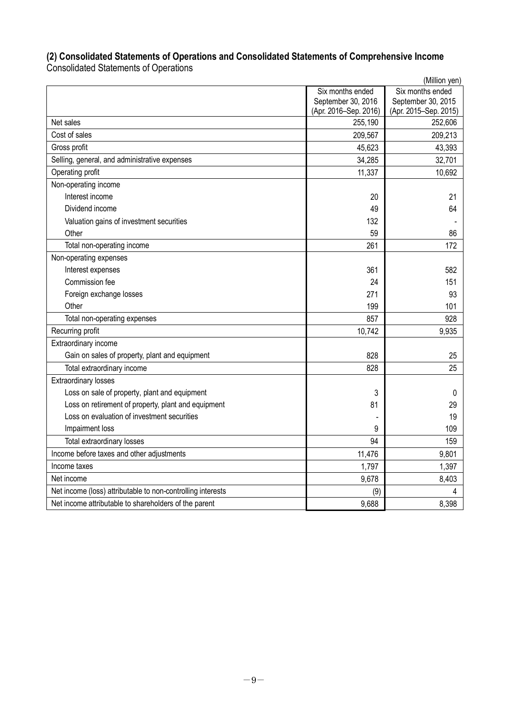# **(2) Consolidated Statements of Operations and Consolidated Statements of Comprehensive Income**

Consolidated Statements of Operations

|                                                             |                       | (Million yen)         |
|-------------------------------------------------------------|-----------------------|-----------------------|
|                                                             | Six months ended      | Six months ended      |
|                                                             | September 30, 2016    | September 30, 2015    |
|                                                             | (Apr. 2016-Sep. 2016) | (Apr. 2015-Sep. 2015) |
| Net sales                                                   | 255,190               | 252,606               |
| Cost of sales                                               | 209,567               | 209,213               |
| Gross profit                                                | 45,623                | 43,393                |
| Selling, general, and administrative expenses               | 34,285                | 32,701                |
| Operating profit                                            | 11,337                | 10,692                |
| Non-operating income                                        |                       |                       |
| Interest income                                             | 20                    | 21                    |
| Dividend income                                             | 49                    | 64                    |
| Valuation gains of investment securities                    | 132                   |                       |
| Other                                                       | 59                    | 86                    |
| Total non-operating income                                  | 261                   | 172                   |
| Non-operating expenses                                      |                       |                       |
| Interest expenses                                           | 361                   | 582                   |
| Commission fee                                              | 24                    | 151                   |
| Foreign exchange losses                                     | 271                   | 93                    |
| Other                                                       | 199                   | 101                   |
| Total non-operating expenses                                | 857                   | 928                   |
| Recurring profit                                            | 10,742                | 9,935                 |
| Extraordinary income                                        |                       |                       |
| Gain on sales of property, plant and equipment              | 828                   | 25                    |
| Total extraordinary income                                  | 828                   | 25                    |
| <b>Extraordinary losses</b>                                 |                       |                       |
| Loss on sale of property, plant and equipment               | 3                     | 0                     |
| Loss on retirement of property, plant and equipment         | 81                    | 29                    |
| Loss on evaluation of investment securities                 |                       | 19                    |
| Impairment loss                                             | 9                     | 109                   |
| Total extraordinary losses                                  | 94                    | 159                   |
| Income before taxes and other adjustments                   | 11,476                | 9,801                 |
| Income taxes                                                | 1,797                 | 1,397                 |
| Net income                                                  | 9,678                 | 8,403                 |
| Net income (loss) attributable to non-controlling interests | (9)                   | 4                     |
| Net income attributable to shareholders of the parent       | 9,688                 | 8,398                 |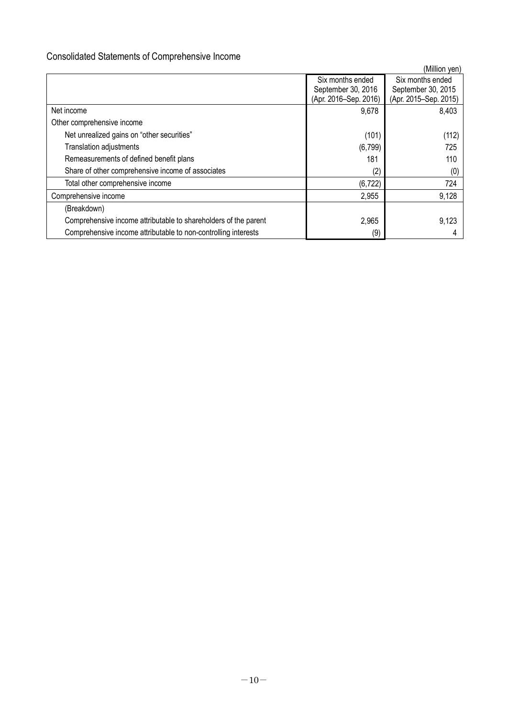# Consolidated Statements of Comprehensive Income

|                                                                 |                       | (Million yen)         |
|-----------------------------------------------------------------|-----------------------|-----------------------|
|                                                                 | Six months ended      | Six months ended      |
|                                                                 | September 30, 2016    | September 30, 2015    |
|                                                                 | (Apr. 2016–Sep. 2016) | (Apr. 2015-Sep. 2015) |
| Net income                                                      | 9,678                 | 8,403                 |
| Other comprehensive income                                      |                       |                       |
| Net unrealized gains on "other securities"                      | (101)                 | (112)                 |
| <b>Translation adjustments</b>                                  | (6, 799)              | 725                   |
| Remeasurements of defined benefit plans                         | 181                   | 110                   |
| Share of other comprehensive income of associates               | (2)                   | (0)                   |
| Total other comprehensive income                                | (6, 722)              | 724                   |
| Comprehensive income                                            | 2,955                 | 9,128                 |
| (Breakdown)                                                     |                       |                       |
| Comprehensive income attributable to shareholders of the parent | 2,965                 | 9,123                 |
| Comprehensive income attributable to non-controlling interests  | (9)                   |                       |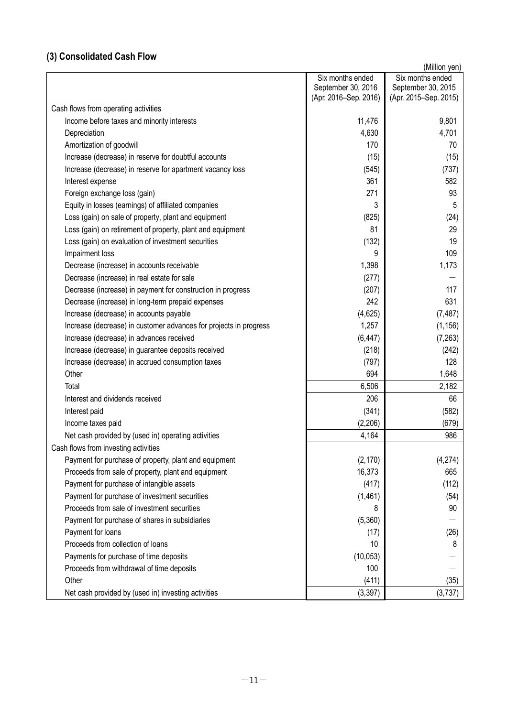# **(3) Consolidated Cash Flow**

| Six months ended<br>September 30, 2016<br>(Apr. 2016–Sep. 2016)<br>(Apr. 2015–Sep. 2015)<br>Cash flows from operating activities<br>11,476<br>9,801<br>Income before taxes and minority interests<br>4,630<br>4,701<br>Depreciation<br>Amortization of goodwill<br>170<br>Increase (decrease) in reserve for doubtful accounts<br>(15)<br>Increase (decrease) in reserve for apartment vacancy loss<br>(545)<br>361<br>Interest expense<br>271<br>Foreign exchange loss (gain)<br>3<br>Equity in losses (earnings) of affiliated companies<br>(825)<br>Loss (gain) on sale of property, plant and equipment<br>Loss (gain) on retirement of property, plant and equipment<br>81<br>Loss (gain) on evaluation of investment securities<br>(132)<br>Impairment loss<br>9<br>1,398<br>Decrease (increase) in accounts receivable<br>Decrease (increase) in real estate for sale<br>(277)<br>Decrease (increase) in payment for construction in progress<br>(207)<br>242<br>Decrease (increase) in long-term prepaid expenses<br>(4,625)<br>Increase (decrease) in accounts payable |                                                                   |       | (Million yen)      |
|---------------------------------------------------------------------------------------------------------------------------------------------------------------------------------------------------------------------------------------------------------------------------------------------------------------------------------------------------------------------------------------------------------------------------------------------------------------------------------------------------------------------------------------------------------------------------------------------------------------------------------------------------------------------------------------------------------------------------------------------------------------------------------------------------------------------------------------------------------------------------------------------------------------------------------------------------------------------------------------------------------------------------------------------------------------------------------|-------------------------------------------------------------------|-------|--------------------|
|                                                                                                                                                                                                                                                                                                                                                                                                                                                                                                                                                                                                                                                                                                                                                                                                                                                                                                                                                                                                                                                                                 |                                                                   |       | Six months ended   |
|                                                                                                                                                                                                                                                                                                                                                                                                                                                                                                                                                                                                                                                                                                                                                                                                                                                                                                                                                                                                                                                                                 |                                                                   |       | September 30, 2015 |
|                                                                                                                                                                                                                                                                                                                                                                                                                                                                                                                                                                                                                                                                                                                                                                                                                                                                                                                                                                                                                                                                                 |                                                                   |       |                    |
|                                                                                                                                                                                                                                                                                                                                                                                                                                                                                                                                                                                                                                                                                                                                                                                                                                                                                                                                                                                                                                                                                 |                                                                   |       |                    |
|                                                                                                                                                                                                                                                                                                                                                                                                                                                                                                                                                                                                                                                                                                                                                                                                                                                                                                                                                                                                                                                                                 |                                                                   |       |                    |
|                                                                                                                                                                                                                                                                                                                                                                                                                                                                                                                                                                                                                                                                                                                                                                                                                                                                                                                                                                                                                                                                                 |                                                                   |       |                    |
|                                                                                                                                                                                                                                                                                                                                                                                                                                                                                                                                                                                                                                                                                                                                                                                                                                                                                                                                                                                                                                                                                 |                                                                   |       | 70                 |
|                                                                                                                                                                                                                                                                                                                                                                                                                                                                                                                                                                                                                                                                                                                                                                                                                                                                                                                                                                                                                                                                                 |                                                                   |       | (15)               |
|                                                                                                                                                                                                                                                                                                                                                                                                                                                                                                                                                                                                                                                                                                                                                                                                                                                                                                                                                                                                                                                                                 |                                                                   |       | (737)              |
|                                                                                                                                                                                                                                                                                                                                                                                                                                                                                                                                                                                                                                                                                                                                                                                                                                                                                                                                                                                                                                                                                 |                                                                   |       | 582                |
|                                                                                                                                                                                                                                                                                                                                                                                                                                                                                                                                                                                                                                                                                                                                                                                                                                                                                                                                                                                                                                                                                 |                                                                   |       | 93                 |
|                                                                                                                                                                                                                                                                                                                                                                                                                                                                                                                                                                                                                                                                                                                                                                                                                                                                                                                                                                                                                                                                                 |                                                                   |       | 5                  |
|                                                                                                                                                                                                                                                                                                                                                                                                                                                                                                                                                                                                                                                                                                                                                                                                                                                                                                                                                                                                                                                                                 |                                                                   |       | (24)               |
|                                                                                                                                                                                                                                                                                                                                                                                                                                                                                                                                                                                                                                                                                                                                                                                                                                                                                                                                                                                                                                                                                 |                                                                   |       | 29                 |
|                                                                                                                                                                                                                                                                                                                                                                                                                                                                                                                                                                                                                                                                                                                                                                                                                                                                                                                                                                                                                                                                                 |                                                                   |       | 19                 |
|                                                                                                                                                                                                                                                                                                                                                                                                                                                                                                                                                                                                                                                                                                                                                                                                                                                                                                                                                                                                                                                                                 |                                                                   |       | 109                |
|                                                                                                                                                                                                                                                                                                                                                                                                                                                                                                                                                                                                                                                                                                                                                                                                                                                                                                                                                                                                                                                                                 |                                                                   |       | 1,173              |
|                                                                                                                                                                                                                                                                                                                                                                                                                                                                                                                                                                                                                                                                                                                                                                                                                                                                                                                                                                                                                                                                                 |                                                                   |       |                    |
|                                                                                                                                                                                                                                                                                                                                                                                                                                                                                                                                                                                                                                                                                                                                                                                                                                                                                                                                                                                                                                                                                 |                                                                   |       | 117                |
|                                                                                                                                                                                                                                                                                                                                                                                                                                                                                                                                                                                                                                                                                                                                                                                                                                                                                                                                                                                                                                                                                 |                                                                   |       | 631                |
|                                                                                                                                                                                                                                                                                                                                                                                                                                                                                                                                                                                                                                                                                                                                                                                                                                                                                                                                                                                                                                                                                 |                                                                   |       | (7, 487)           |
|                                                                                                                                                                                                                                                                                                                                                                                                                                                                                                                                                                                                                                                                                                                                                                                                                                                                                                                                                                                                                                                                                 | Increase (decrease) in customer advances for projects in progress | 1,257 | (1, 156)           |
| Increase (decrease) in advances received<br>(6, 447)                                                                                                                                                                                                                                                                                                                                                                                                                                                                                                                                                                                                                                                                                                                                                                                                                                                                                                                                                                                                                            |                                                                   |       | (7, 263)           |
| Increase (decrease) in guarantee deposits received<br>(218)                                                                                                                                                                                                                                                                                                                                                                                                                                                                                                                                                                                                                                                                                                                                                                                                                                                                                                                                                                                                                     |                                                                   |       | (242)              |
| (797)<br>Increase (decrease) in accrued consumption taxes                                                                                                                                                                                                                                                                                                                                                                                                                                                                                                                                                                                                                                                                                                                                                                                                                                                                                                                                                                                                                       |                                                                   |       | 128                |
| Other<br>694                                                                                                                                                                                                                                                                                                                                                                                                                                                                                                                                                                                                                                                                                                                                                                                                                                                                                                                                                                                                                                                                    |                                                                   |       | 1,648              |
| 6,506<br>Total                                                                                                                                                                                                                                                                                                                                                                                                                                                                                                                                                                                                                                                                                                                                                                                                                                                                                                                                                                                                                                                                  |                                                                   |       | 2,182              |
| 206<br>Interest and dividends received                                                                                                                                                                                                                                                                                                                                                                                                                                                                                                                                                                                                                                                                                                                                                                                                                                                                                                                                                                                                                                          |                                                                   |       | 66                 |
| Interest paid<br>(341)                                                                                                                                                                                                                                                                                                                                                                                                                                                                                                                                                                                                                                                                                                                                                                                                                                                                                                                                                                                                                                                          |                                                                   |       | (582)              |
| (2, 206)<br>Income taxes paid                                                                                                                                                                                                                                                                                                                                                                                                                                                                                                                                                                                                                                                                                                                                                                                                                                                                                                                                                                                                                                                   |                                                                   |       | (679)              |
| 4,164<br>Net cash provided by (used in) operating activities                                                                                                                                                                                                                                                                                                                                                                                                                                                                                                                                                                                                                                                                                                                                                                                                                                                                                                                                                                                                                    |                                                                   |       | 986                |
| Cash flows from investing activities                                                                                                                                                                                                                                                                                                                                                                                                                                                                                                                                                                                                                                                                                                                                                                                                                                                                                                                                                                                                                                            |                                                                   |       |                    |
| Payment for purchase of property, plant and equipment<br>(2, 170)                                                                                                                                                                                                                                                                                                                                                                                                                                                                                                                                                                                                                                                                                                                                                                                                                                                                                                                                                                                                               |                                                                   |       | (4,274)            |
| 16,373<br>Proceeds from sale of property, plant and equipment                                                                                                                                                                                                                                                                                                                                                                                                                                                                                                                                                                                                                                                                                                                                                                                                                                                                                                                                                                                                                   |                                                                   |       | 665                |
| Payment for purchase of intangible assets<br>(417)                                                                                                                                                                                                                                                                                                                                                                                                                                                                                                                                                                                                                                                                                                                                                                                                                                                                                                                                                                                                                              |                                                                   |       | (112)              |
| Payment for purchase of investment securities<br>(1,461)                                                                                                                                                                                                                                                                                                                                                                                                                                                                                                                                                                                                                                                                                                                                                                                                                                                                                                                                                                                                                        |                                                                   |       | (54)               |
| Proceeds from sale of investment securities<br>8                                                                                                                                                                                                                                                                                                                                                                                                                                                                                                                                                                                                                                                                                                                                                                                                                                                                                                                                                                                                                                |                                                                   |       | 90                 |
| (5,360)<br>Payment for purchase of shares in subsidiaries                                                                                                                                                                                                                                                                                                                                                                                                                                                                                                                                                                                                                                                                                                                                                                                                                                                                                                                                                                                                                       |                                                                   |       |                    |
| Payment for loans<br>(17)                                                                                                                                                                                                                                                                                                                                                                                                                                                                                                                                                                                                                                                                                                                                                                                                                                                                                                                                                                                                                                                       |                                                                   |       | (26)               |
| Proceeds from collection of loans<br>10                                                                                                                                                                                                                                                                                                                                                                                                                                                                                                                                                                                                                                                                                                                                                                                                                                                                                                                                                                                                                                         |                                                                   |       | 8                  |
| Payments for purchase of time deposits<br>(10, 053)                                                                                                                                                                                                                                                                                                                                                                                                                                                                                                                                                                                                                                                                                                                                                                                                                                                                                                                                                                                                                             |                                                                   |       |                    |
| Proceeds from withdrawal of time deposits<br>100                                                                                                                                                                                                                                                                                                                                                                                                                                                                                                                                                                                                                                                                                                                                                                                                                                                                                                                                                                                                                                |                                                                   |       |                    |
| Other<br>(411)                                                                                                                                                                                                                                                                                                                                                                                                                                                                                                                                                                                                                                                                                                                                                                                                                                                                                                                                                                                                                                                                  |                                                                   |       | (35)               |
| (3, 397)<br>Net cash provided by (used in) investing activities                                                                                                                                                                                                                                                                                                                                                                                                                                                                                                                                                                                                                                                                                                                                                                                                                                                                                                                                                                                                                 |                                                                   |       | (3,737)            |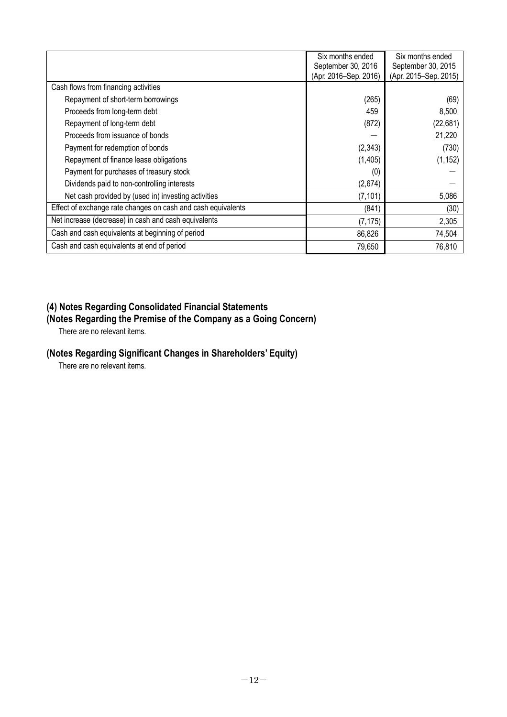|                                                              | Six months ended<br>September 30, 2016 | Six months ended<br>September 30, 2015 |
|--------------------------------------------------------------|----------------------------------------|----------------------------------------|
|                                                              | (Apr. 2016–Sep. 2016)                  | (Apr. 2015-Sep. 2015)                  |
| Cash flows from financing activities                         |                                        |                                        |
| Repayment of short-term borrowings                           | (265)                                  | (69)                                   |
| Proceeds from long-term debt                                 | 459                                    | 8,500                                  |
| Repayment of long-term debt                                  | (872)                                  | (22, 681)                              |
| Proceeds from issuance of bonds                              |                                        | 21,220                                 |
| Payment for redemption of bonds                              | (2, 343)                               | (730)                                  |
| Repayment of finance lease obligations                       | (1, 405)                               | (1, 152)                               |
| Payment for purchases of treasury stock                      | (0)                                    |                                        |
| Dividends paid to non-controlling interests                  | (2,674)                                |                                        |
| Net cash provided by (used in) investing activities          | (7, 101)                               | 5,086                                  |
| Effect of exchange rate changes on cash and cash equivalents | (841)                                  | (30)                                   |
| Net increase (decrease) in cash and cash equivalents         | (7, 175)                               | 2,305                                  |
| Cash and cash equivalents at beginning of period             | 86,826                                 | 74,504                                 |
| Cash and cash equivalents at end of period                   | 79,650                                 | 76,810                                 |

# **(4) Notes Regarding Consolidated Financial Statements**

# **(Notes Regarding the Premise of the Company as a Going Concern)**

There are no relevant items.

# **(Notes Regarding Significant Changes in Shareholders' Equity)**

There are no relevant items.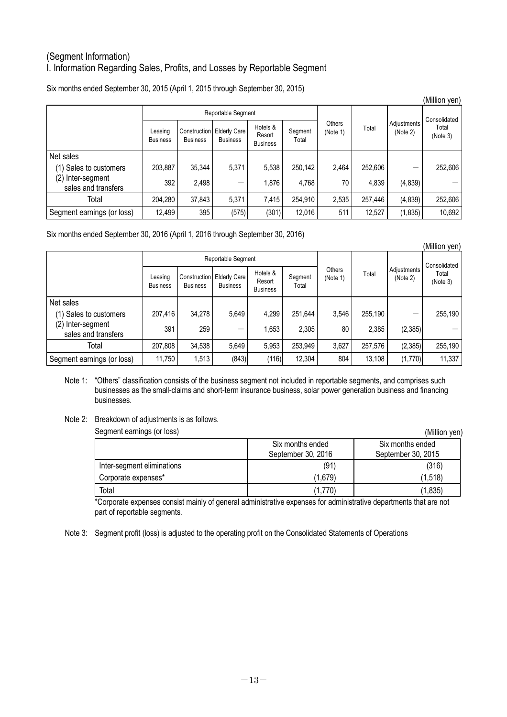## (Segment Information) I. Information Regarding Sales, Profits, and Losses by Reportable Segment

Six months ended September 30, 2015 (April 1, 2015 through September 30, 2015)

|                                             |                            |                 |                                                |                                       |                  |                    |         |                         | (Million yen)     |
|---------------------------------------------|----------------------------|-----------------|------------------------------------------------|---------------------------------------|------------------|--------------------|---------|-------------------------|-------------------|
|                                             |                            |                 | Reportable Segment                             |                                       |                  |                    |         |                         | Consolidated      |
|                                             | Leasing<br><b>Business</b> | <b>Business</b> | Construction   Elderly Care<br><b>Business</b> | Hotels &<br>Resort<br><b>Business</b> | Segment<br>Total | Others<br>(Note 1) | Total   | Adjustments<br>(Note 2) | Total<br>(Note 3) |
| Net sales                                   |                            |                 |                                                |                                       |                  |                    |         |                         |                   |
| (1) Sales to customers                      | 203,887                    | 35,344          | 5,371                                          | 5,538                                 | 250,142          | 2,464              | 252,606 | —                       | 252,606           |
| (2)<br>Inter-segment<br>sales and transfers | 392                        | 2,498           |                                                | 1.876                                 | 4.768            | 70                 | 4,839   | (4, 839)                |                   |
| Total                                       | 204,280                    | 37,843          | 5,371                                          | 7,415                                 | 254,910          | 2,535              | 257.446 | (4, 839)                | 252,606           |
| Segment earnings (or loss)                  | 12,499                     | 395             | (575)                                          | (301)                                 | 12,016           | 511                | 12,527  | (1, 835)                | 10,692            |

Six months ended September 30, 2016 (April 1, 2016 through September 30, 2016)

|                                             |                            |                 |                                                |                                       |                  |                    |         |                         | (Million yen)     |
|---------------------------------------------|----------------------------|-----------------|------------------------------------------------|---------------------------------------|------------------|--------------------|---------|-------------------------|-------------------|
|                                             |                            |                 | Reportable Segment                             |                                       |                  |                    |         |                         | Consolidated      |
|                                             | Leasing<br><b>Business</b> | <b>Business</b> | Construction   Elderly Care<br><b>Business</b> | Hotels &<br>Resort<br><b>Business</b> | Segment<br>Total | Others<br>(Note 1) | Total   | Adjustments<br>(Note 2) | Total<br>(Note 3) |
| Net sales                                   |                            |                 |                                                |                                       |                  |                    |         |                         |                   |
| (1) Sales to customers                      | 207,416                    | 34,278          | 5.649                                          | 4.299                                 | 251,644          | 3,546              | 255,190 | —                       | 255,190           |
| (2)<br>Inter-segment<br>sales and transfers | 391                        | 259             |                                                | 1,653                                 | 2,305            | 80                 | 2,385   | (2, 385)                |                   |
| Total                                       | 207,808                    | 34,538          | 5,649                                          | 5,953                                 | 253,949          | 3,627              | 257,576 | (2, 385)                | 255,190           |
| Segment earnings (or loss)                  | 11,750                     | 1,513           | (843)                                          | (116)                                 | 12,304           | 804                | 13,108  | (1,770)                 | 11,337            |

Note 1: "Others" classification consists of the business segment not included in reportable segments, and comprises such businesses as the small-claims and short-term insurance business, solar power generation business and financing businesses.

#### Note 2: Breakdown of adjustments is as follows.

| Segment earnings (or loss) |                                        | (Million yen)                          |
|----------------------------|----------------------------------------|----------------------------------------|
|                            | Six months ended<br>September 30, 2016 | Six months ended<br>September 30, 2015 |
| Inter-segment eliminations | (91)                                   | (316)                                  |
| Corporate expenses*        | (1,679)                                | (1,518)                                |
| Total                      | (1,770)                                | (1, 835)                               |

\*Corporate expenses consist mainly of general administrative expenses for administrative departments that are not part of reportable segments.

Note 3: Segment profit (loss) is adjusted to the operating profit on the Consolidated Statements of Operations